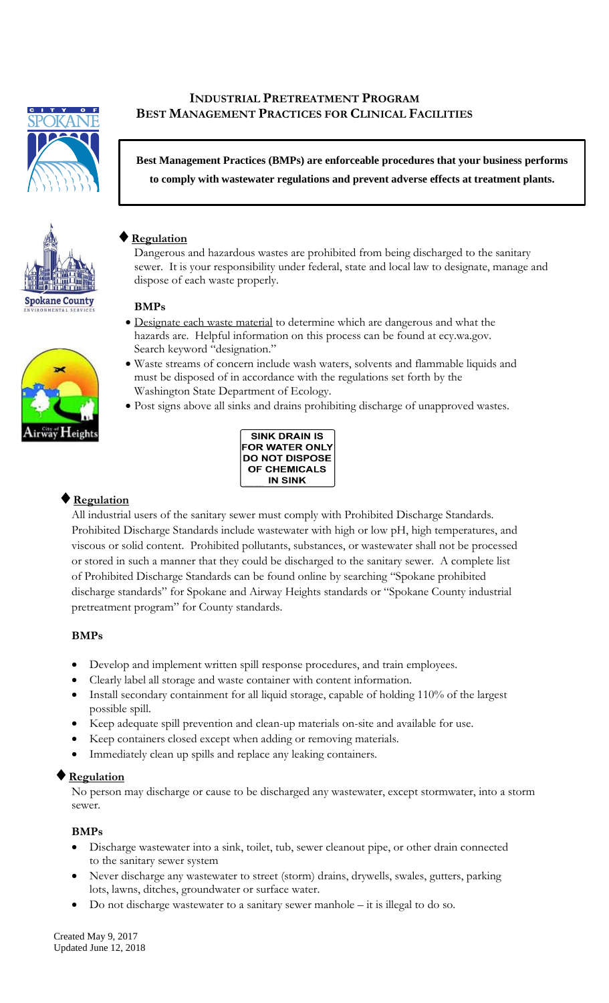

# **INDUSTRIAL PRETREATMENT PROGRAM BEST MANAGEMENT PRACTICES FOR CLINICAL FACILITIES**

**Best Management Practices (BMPs) are enforceable procedures that your business performs to comply with wastewater regulations and prevent adverse effects at treatment plants.**





# **Regulation**

Dangerous and hazardous wastes are prohibited from being discharged to the sanitary sewer. It is your responsibility under federal, state and local law to designate, manage and dispose of each waste properly.

### **BMPs**

- Designate each waste material to determine which are dangerous and what the hazards are. Helpful information on this process can be found at ecy.wa.gov. Search keyword "designation."
- Waste streams of concern include wash waters, solvents and flammable liquids and must be disposed of in accordance with the regulations set forth by the Washington State Department of Ecology.
- Post signs above all sinks and drains prohibiting discharge of unapproved wastes.



# **Regulation**

All industrial users of the sanitary sewer must comply with Prohibited Discharge Standards. Prohibited Discharge Standards include wastewater with high or low pH, high temperatures, and viscous or solid content. Prohibited pollutants, substances, or wastewater shall not be processed or stored in such a manner that they could be discharged to the sanitary sewer. A complete list of Prohibited Discharge Standards can be found online by searching "Spokane prohibited discharge standards" for Spokane and Airway Heights standards or "Spokane County industrial pretreatment program" for County standards.

### **BMPs**

- Develop and implement written spill response procedures, and train employees.
- Clearly label all storage and waste container with content information.
- Install secondary containment for all liquid storage, capable of holding 110% of the largest possible spill.
- Keep adequate spill prevention and clean-up materials on-site and available for use.
- Keep containers closed except when adding or removing materials.
- Immediately clean up spills and replace any leaking containers.

### **Regulation**

No person may discharge or cause to be discharged any wastewater, except stormwater, into a storm sewer.

### **BMPs**

- Discharge wastewater into a sink, toilet, tub, sewer cleanout pipe, or other drain connected to the sanitary sewer system
- Never discharge any wastewater to street (storm) drains, drywells, swales, gutters, parking lots, lawns, ditches, groundwater or surface water.
- Do not discharge wastewater to a sanitary sewer manhole it is illegal to do so.

Created May 9, 2017 Updated June 12, 2018